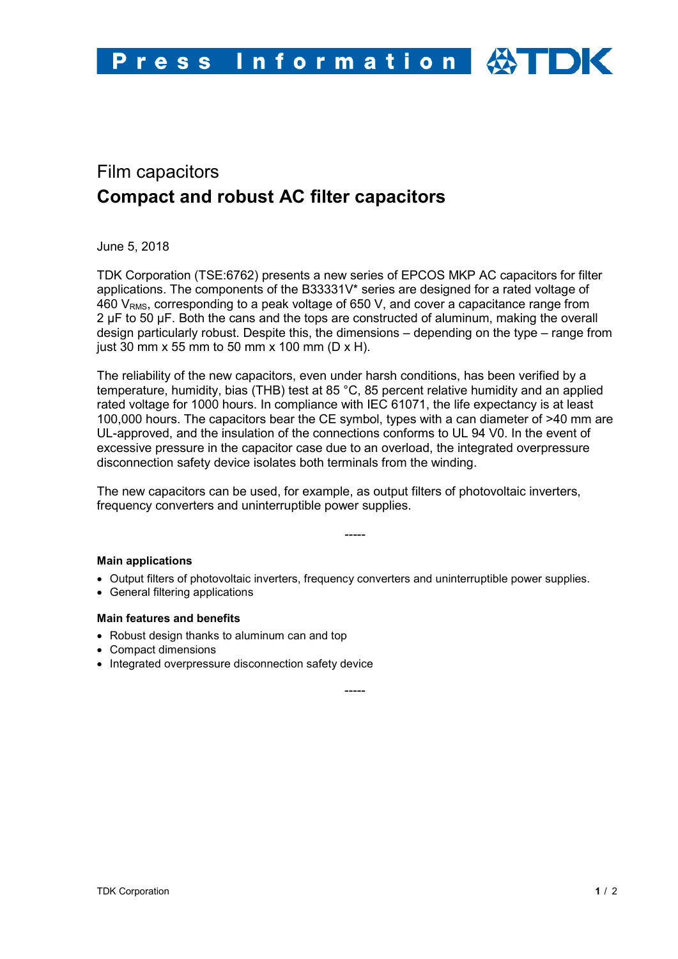# Film capacitors **Compact and robust AC filter capacitors**

June 5, 2018

TDK Corporation (TSE:6762) presents a new series of EPCOS MKP AC capacitors for filter applications. The components of the B33331V\* series are designed for a rated voltage of 460  $V<sub>RMS</sub>$ , corresponding to a peak voltage of 650 V, and cover a capacitance range from 2 µF to 50 µF. Both the cans and the tops are constructed of aluminum, making the overall design particularly robust. Despite this, the dimensions – depending on the type – range from just 30 mm x 55 mm to 50 mm x 100 mm (D x H).

The reliability of the new capacitors, even under harsh conditions, has been verified by a temperature, humidity, bias (THB) test at 85 °C, 85 percent relative humidity and an applied rated voltage for 1000 hours. In compliance with IEC 61071, the life expectancy is at least 100,000 hours. The capacitors bear the CE symbol, types with a can diameter of >40 mm are UL-approved, and the insulation of the connections conforms to UL 94 V0. In the event of excessive pressure in the capacitor case due to an overload, the integrated overpressure disconnection safety device isolates both terminals from the winding.

The new capacitors can be used, for example, as output filters of photovoltaic inverters, frequency converters and uninterruptible power supplies.

## **Main applications**

• Output filters of photovoltaic inverters, frequency converters and uninterruptible power supplies.

-----

• General filtering applications

## **Main features and benefits**

- Robust design thanks to aluminum can and top
- Compact dimensions
- Integrated overpressure disconnection safety device

-----